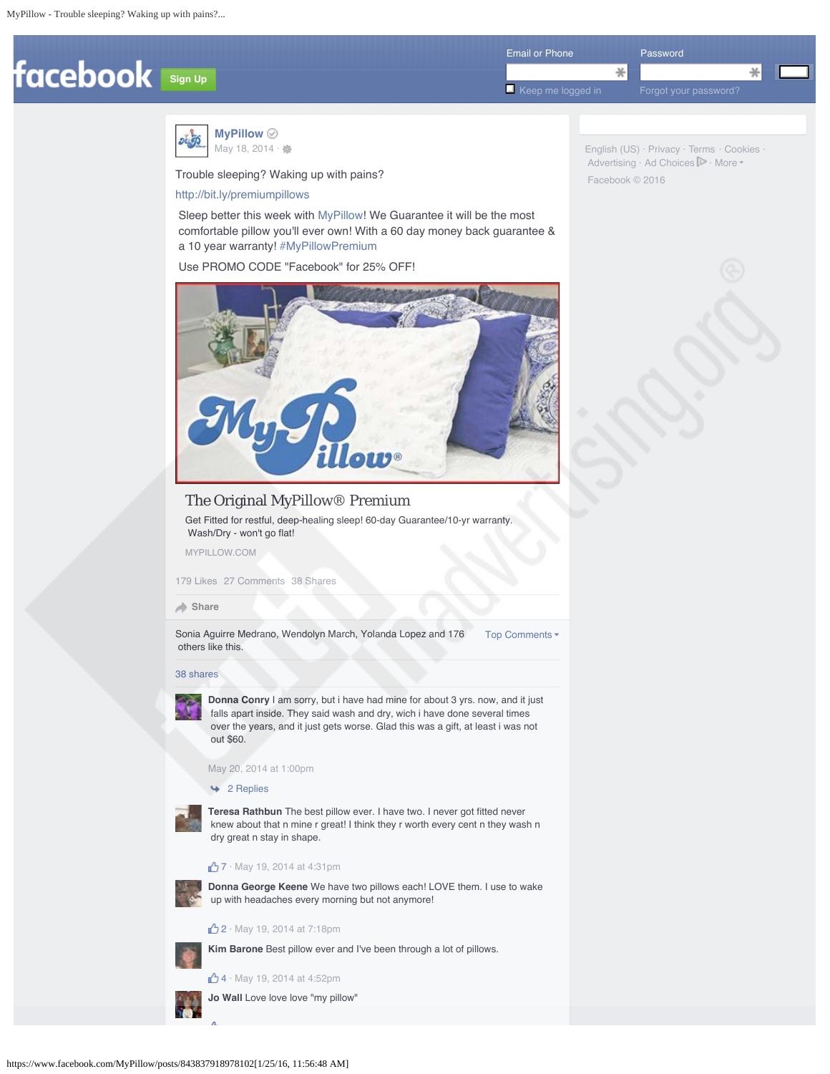

English (US) · Privacy · Terms · Cookies ·  $Advertising \cdot Ad Choices$   $\blacktriangleright$   $\cdot$  More

Facebook © 2016



Trouble sleeping? Waking up with pains?

## http://bit.ly/premiumpillows

 Sleep better this week with MyPillow! We Guarantee it will be the most comfortable pillow you'll ever own! With a 60 day money back guarantee & a 10 year warranty! #MyPillowPremium

Use PROMO CODE "Facebook" for 25% OFF!



# The Original MyPillow® Premium

Get Fitted for restful, deep-healing sleep! 60-day Guarantee/10-yr warranty. Wash/Dry - won't go flat!

MYPILLOW.COM

179 Likes 27 Comments 38 Shares

## **Share**

Sonia Aguirre Medrano, Wendolyn March, Yolanda Lopez and 176 Top Comments others like this.

#### 38 shares



**Donna Conry** I am sorry, but i have had mine for about 3 yrs. now, and it just falls apart inside. They said wash and dry, wich i have done several times over the years, and it just gets worse. Glad this was a gift, at least i was not out \$60.

May 20, 2014 at 1:00pm

# 2 Replies



**Teresa Rathbun** The best pillow ever. I have two. I never got fitted never knew about that n mine r great! I think they r worth every cent n they wash n dry great n stay in shape.

# 7 · May 19, 2014 at 4:31pm



**Donna George Keene** We have two pillows each! LOVE them. I use to wake up with headaches every morning but not anymore!

# **2** · May 19, 2014 at 7:18pm

**Kim Barone** Best pillow ever and I've been through a lot of pillows.

4 · May 19, 2014 at 4:52pm

**Jo Wall** Love love love "my pillow"